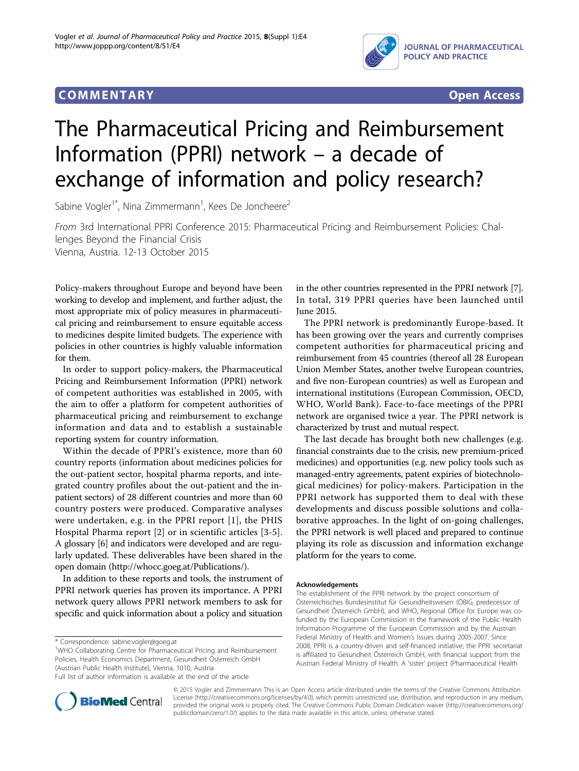# **COMMENTARY COMMENTARY Open Access**



# The Pharmaceutical Pricing and Reimbursement Information (PPRI) network – a decade of exchange of information and policy research?

Sabine Vogler<sup>1\*</sup>, Nina Zimmermann<sup>1</sup>, Kees De Joncheere<sup>2</sup>

From 3rd International PPRI Conference 2015: Pharmaceutical Pricing and Reimbursement Policies: Challenges Beyond the Financial Crisis Vienna, Austria. 12-13 October 2015

Policy-makers throughout Europe and beyond have been working to develop and implement, and further adjust, the most appropriate mix of policy measures in pharmaceutical pricing and reimbursement to ensure equitable access to medicines despite limited budgets. The experience with policies in other countries is highly valuable information for them.

In order to support policy-makers, the Pharmaceutical Pricing and Reimbursement Information (PPRI) network of competent authorities was established in 2005, with the aim to offer a platform for competent authorities of pharmaceutical pricing and reimbursement to exchange information and data and to establish a sustainable reporting system for country information.

Within the decade of PPRI's existence, more than 60 country reports (information about medicines policies for the out-patient sector, hospital pharma reports, and integrated country profiles about the out-patient and the inpatient sectors) of 28 different countries and more than 60 country posters were produced. Comparative analyses were undertaken, e.g. in the PPRI report [[1\]](#page-1-0), the PHIS Hospital Pharma report [[2\]](#page-1-0) or in scientific articles [[3-5](#page-1-0)]. A glossary [\[6](#page-1-0)] and indicators were developed and are regularly updated. These deliverables have been shared in the open domain [\(http://whocc.goeg.at/Publications/\)](http://whocc.goeg.at/Publications/).

In addition to these reports and tools, the instrument of PPRI network queries has proven its importance. A PPRI network query allows PPRI network members to ask for specific and quick information about a policy and situation

<sup>1</sup>WHO Collaborating Centre for Pharmaceutical Pricing and Reimbursement Policies, Health Economics Department, Gesundheit Österreich GmbH (Austrian Public Health Institute), Vienna, 1010, Austria

Full list of author information is available at the end of the article



The PPRI network is predominantly Europe-based. It has been growing over the years and currently comprises competent authorities for pharmaceutical pricing and reimbursement from 45 countries (thereof all 28 European Union Member States, another twelve European countries, and five non-European countries) as well as European and international institutions (European Commission, OECD, WHO, World Bank). Face-to-face meetings of the PPRI network are organised twice a year. The PPRI network is characterized by trust and mutual respect.

The last decade has brought both new challenges (e.g. financial constraints due to the crisis, new premium-priced medicines) and opportunities (e.g. new policy tools such as managed-entry agreements, patent expiries of biotechnological medicines) for policy-makers. Participation in the PPRI network has supported them to deal with these developments and discuss possible solutions and collaborative approaches. In the light of on-going challenges, the PPRI network is well placed and prepared to continue playing its role as discussion and information exchange platform for the years to come.

#### Acknowledgements

The establishment of the PPRI network by the project consortium of Österreichisches Bundesinstitut für Gesundheitswesen (ÖBIG, predecessor of Gesundheit Österreich GmbH), and WHO, Regional Office for Europe was cofunded by the European Commission in the framework of the Public Health Information Programme of the European Commission and by the Austrian Federal Ministry of Health and Women's Issues during 2005-2007. Since 2008, PPRI is a country-driven and self-financed initiative; the PPRI secretariat is affiliated to Gesundheit Österreich GmbH, with financial support from the Austrian Federal Ministry of Health. A 'sister' project (Pharmaceutical Health



© 2015 Vogler and Zimmermann This is an Open Access article distributed under the terms of the Creative Commons Attribution License [\(http://creativecommons.org/licenses/by/4.0](http://creativecommons.org/licenses/by/4.0)), which permits unrestricted use, distribution, and reproduction in any medium, provided the original work is properly cited. The Creative Commons Public Domain Dedication waiver ([http://creativecommons.org/](http://creativecommons.org/publicdomain/zero/1.0/) [publicdomain/zero/1.0/](http://creativecommons.org/publicdomain/zero/1.0/)) applies to the data made available in this article, unless otherwise stated.

<sup>\*</sup> Correspondence: [sabine.vogler@goeg.at](mailto:sabine.vogler@goeg.at)